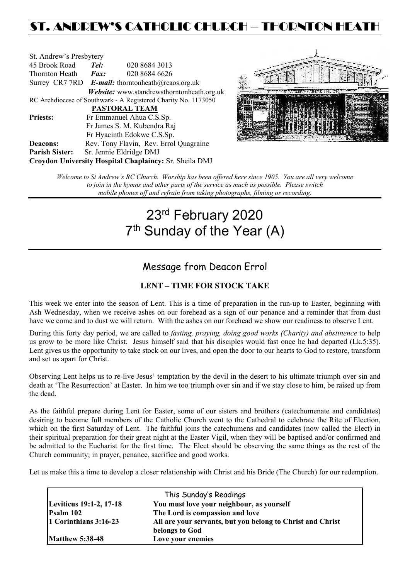# ST. ANDREW'S CATHOLIC CHURCH – THORNTON HEAT

| St. Andrew's Presbytery                                        |                                                          |                                            |  |  |
|----------------------------------------------------------------|----------------------------------------------------------|--------------------------------------------|--|--|
| 45 Brook Road                                                  | Tel:                                                     | 020 8684 3013                              |  |  |
| Thornton Heath                                                 | $\boldsymbol{Fax:}$                                      | 020 8684 6626                              |  |  |
|                                                                | Surrey CR7 7RD <b>E-mail:</b> thorntonheath@rcaos.org.uk |                                            |  |  |
|                                                                |                                                          | Website: www.standrewsthorntonheath.org.uk |  |  |
| RC Archdiocese of Southwark - A Registered Charity No. 1173050 |                                                          |                                            |  |  |
| PASTORAL TEAM                                                  |                                                          |                                            |  |  |
| <b>Priests:</b>                                                |                                                          | Fr Emmanuel Ahua C.S.Sp.                   |  |  |
| Fr James S. M. Kubendra Raj                                    |                                                          |                                            |  |  |
|                                                                |                                                          | Fr Hyacinth Edokwe C.S.Sp.                 |  |  |
| <b>Deacons:</b>                                                |                                                          | Rev. Tony Flavin, Rev. Errol Quagraine     |  |  |
| <b>Parish Sister:</b>                                          |                                                          | Sr. Jennie Eldridge DMJ                    |  |  |
| Croydon University Hospital Chaplaincy: Sr. Sheila DMJ         |                                                          |                                            |  |  |



*Welcome to St Andrew's RC Church. Worship has been offered here since 1905. You are all very welcome to join in the hymns and other parts of the service as much as possible. Please switch mobile phones off and refrain from taking photographs, filming or recording.*

# 23rd February 2020 7<sup>th</sup> Sunday of the Year (A)

## Message from Deacon Errol

#### **LENT – TIME FOR STOCK TAKE**

This week we enter into the season of Lent. This is a time of preparation in the run-up to Easter, beginning with Ash Wednesday, when we receive ashes on our forehead as a sign of our penance and a reminder that from dust have we come and to dust we will return. With the ashes on our forehead we show our readiness to observe Lent.

During this forty day period, we are called to *fasting, praying, doing good works (Charity) and abstinence* to help us grow to be more like Christ. Jesus himself said that his disciples would fast once he had departed (Lk.5:35). Lent gives us the opportunity to take stock on our lives, and open the door to our hearts to God to restore, transform and set us apart for Christ.

Observing Lent helps us to re-live Jesus' temptation by the devil in the desert to his ultimate triumph over sin and death at 'The Resurrection' at Easter. In him we too triumph over sin and if we stay close to him, be raised up from the dead.

As the faithful prepare during Lent for Easter, some of our sisters and brothers (catechumenate and candidates) desiring to become full members of the Catholic Church went to the Cathedral to celebrate the Rite of Election, which on the first Saturday of Lent. The faithful joins the catechumens and candidates (now called the Elect) in their spiritual preparation for their great night at the Easter Vigil, when they will be baptised and/or confirmed and be admitted to the Eucharist for the first time. The Elect should be observing the same things as the rest of the Church community; in prayer, penance, sacrifice and good works.

Let us make this a time to develop a closer relationship with Christ and his Bride (The Church) for our redemption.

| This Sunday's Readings  |                                                            |  |  |  |
|-------------------------|------------------------------------------------------------|--|--|--|
| Leviticus 19:1-2, 17-18 | You must love your neighbour, as yourself                  |  |  |  |
| Psalm 102               | The Lord is compassion and love                            |  |  |  |
| 1 Corinthians 3:16-23   | All are your servants, but you belong to Christ and Christ |  |  |  |
|                         | belongs to God                                             |  |  |  |
| <b>Matthew 5:38-48</b>  | Love your enemies                                          |  |  |  |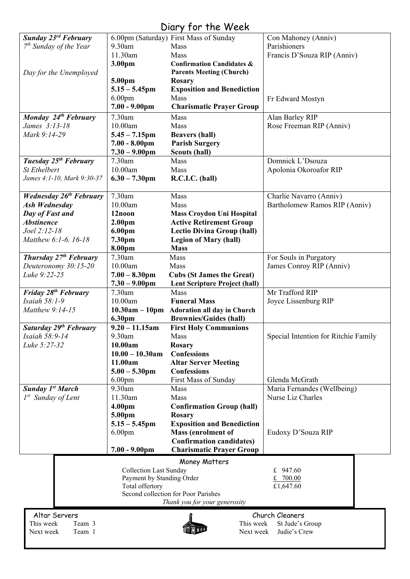# Diary for the Week

|                                   |                               | יוטט זו טוויו וטן                          |                                      |
|-----------------------------------|-------------------------------|--------------------------------------------|--------------------------------------|
| <b>Sunday 23rd February</b>       |                               | 6.00pm (Saturday) First Mass of Sunday     | Con Mahoney (Anniv)                  |
| $7th$ Sunday of the Year          | 9.30am                        | Mass                                       | Parishioners                         |
|                                   | 11.30am                       | Mass                                       | Francis D'Souza RIP (Anniv)          |
|                                   | 3.00pm                        | <b>Confirmation Candidates &amp;</b>       |                                      |
|                                   |                               |                                            |                                      |
| Day for the Unemployed            |                               | <b>Parents Meeting (Church)</b>            |                                      |
|                                   | 5.00pm                        | Rosary                                     |                                      |
|                                   | $5.15 - 5.45$ pm              | <b>Exposition and Benediction</b>          |                                      |
|                                   | 6.00 <sub>pm</sub>            | Mass                                       | Fr Edward Mostyn                     |
|                                   | $7.00 - 9.00$ pm              | <b>Charismatic Prayer Group</b>            |                                      |
| Monday 24th February              | 7.30am                        | Mass                                       | Alan Barley RIP                      |
| James 3:13-18                     | 10.00am                       |                                            |                                      |
|                                   |                               | Mass                                       | Rose Freeman RIP (Anniv)             |
| Mark 9:14-29                      | $5.45 - 7.15$ pm              | <b>Beavers (hall)</b>                      |                                      |
|                                   | $7.00 - 8.00 \text{pm}$       | <b>Parish Surgery</b>                      |                                      |
|                                   | $7.30 - 9.00$ pm              | <b>Scouts (hall)</b>                       |                                      |
| Tuesday 25 <sup>th</sup> February | 7.30am                        | Mass                                       | Domnick L'Dsouza                     |
| <b>St Ethelbert</b>               | 10.00am                       | Mass                                       | Apolonia Okoroafor RIP               |
| James 4:1-10, Mark 9:30-37        | $6.30 - 7.30$ pm              | R.C.I.C. (hall)                            |                                      |
|                                   |                               |                                            |                                      |
|                                   | 7.30am                        | Mass                                       |                                      |
| <b>Wednesday 26th February</b>    |                               |                                            | Charlie Navarro (Anniv)              |
| <b>Ash Wednesday</b>              | 10.00am                       | Mass                                       | Bartholomew Ramos RIP (Anniv)        |
| Day of Fast and                   | 12noon                        | <b>Mass Croydon Uni Hospital</b>           |                                      |
| <b>Abstinence</b>                 | 2.00 <sub>pm</sub>            | <b>Active Retirement Group</b>             |                                      |
| Joel 2:12-18                      | 6.00pm                        | <b>Lectio Divina Group (hall)</b>          |                                      |
| Matthew 6:1-6. 16-18              | 7.30pm                        | <b>Legion of Mary (hall)</b>               |                                      |
|                                   | 8.00pm                        | <b>Mass</b>                                |                                      |
| Thursday $27th$ February          | 7.30am                        | Mass                                       | For Souls in Purgatory               |
| Deuteronomy 30:15-20              | 10.00am                       | Mass                                       | James Conroy RIP (Anniv)             |
|                                   |                               |                                            |                                      |
| Luke 9:22-25                      | $7.00 - 8.30$ pm              | <b>Cubs (St James the Great)</b>           |                                      |
|                                   | $7.30 - 9.00$ pm              | <b>Lent Scripture Project (hall)</b>       |                                      |
| Friday 28 <sup>th</sup> February  | 7.30am                        | Mass                                       | Mr Trafford RIP                      |
| Isaiah 58:1-9                     | 10.00am                       | <b>Funeral Mass</b>                        | Joyce Lissenburg RIP                 |
| Matthew 9:14-15                   |                               | 10.30am - 10pm Adoration all day in Church |                                      |
|                                   | 6.30pm                        | <b>Brownies/Guides (hall)</b>              |                                      |
| Saturday 29th February            | $9.20 - 11.15$ am             | <b>First Holy Communions</b>               |                                      |
| Isaiah 58:9-14                    | 9.30am                        | Mass                                       | Special Intention for Ritchie Family |
| Luke 5:27-32                      | 10.00am                       | <b>Rosary</b>                              |                                      |
|                                   | $10.00 - 10.30$ am            | <b>Confessions</b>                         |                                      |
|                                   |                               |                                            |                                      |
|                                   | 11.00am                       | <b>Altar Server Meeting</b>                |                                      |
|                                   | $5.00 - 5.30$ pm              | <b>Confessions</b>                         |                                      |
|                                   | 6.00 <sub>pm</sub>            | First Mass of Sunday                       | Glenda McGrath                       |
| <b>Sunday 1st March</b>           | 9.30am                        | Mass                                       | Maria Fernandes (Wellbeing)          |
| $I^{st}$ Sunday of Lent           | 11.30am                       | Mass                                       | Nurse Liz Charles                    |
|                                   | 4.00 <sub>pm</sub>            | <b>Confirmation Group (hall)</b>           |                                      |
|                                   | 5.00pm                        | <b>Rosary</b>                              |                                      |
|                                   | $5.15 - 5.45$ pm              | <b>Exposition and Benediction</b>          |                                      |
|                                   | 6.00 <sub>pm</sub>            | Mass (enrolment of                         | Eudoxy D'Souza RIP                   |
|                                   |                               | <b>Confirmation candidates)</b>            |                                      |
|                                   |                               |                                            |                                      |
|                                   | $7.00 - 9.00$ pm              | <b>Charismatic Prayer Group</b>            |                                      |
|                                   |                               | Money Matters                              |                                      |
|                                   | <b>Collection Last Sunday</b> |                                            | 947.60<br>£                          |
|                                   | Payment by Standing Order     |                                            | £ 700.00                             |
|                                   | Total offertory               |                                            | £1,647.60                            |
|                                   |                               | Second collection for Poor Parishes        |                                      |
|                                   |                               | Thank you for your generosity              |                                      |
|                                   |                               |                                            |                                      |
| Altar Servers                     |                               |                                            | Church Cleaners                      |
| This week<br>Team 3               |                               | This week                                  | St Jude's Group                      |
| Team 1<br>Next week               |                               | Next week                                  | Judie's Crew                         |
|                                   |                               |                                            |                                      |
|                                   |                               |                                            |                                      |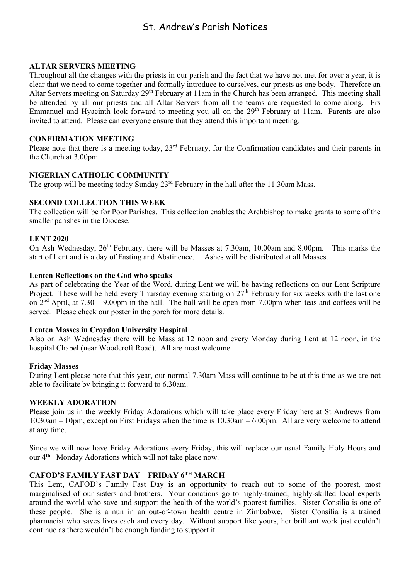## St. Andrew's Parish Notices

#### **ALTAR SERVERS MEETING**

Throughout all the changes with the priests in our parish and the fact that we have not met for over a year, it is clear that we need to come together and formally introduce to ourselves, our priests as one body. Therefore an Altar Servers meeting on Saturday  $29<sup>th</sup>$  February at 11am in the Church has been arranged. This meeting shall be attended by all our priests and all Altar Servers from all the teams are requested to come along. Frs Emmanuel and Hyacinth look forward to meeting you all on the 29<sup>th</sup> February at 11am. Parents are also invited to attend. Please can everyone ensure that they attend this important meeting.

#### **CONFIRMATION MEETING**

Please note that there is a meeting today, 23<sup>rd</sup> February, for the Confirmation candidates and their parents in the Church at 3.00pm.

#### **NIGERIAN CATHOLIC COMMUNITY**

The group will be meeting today Sunday  $23<sup>rd</sup>$  February in the hall after the 11.30am Mass.

#### **SECOND COLLECTION THIS WEEK**

The collection will be for Poor Parishes. This collection enables the Archbishop to make grants to some of the smaller parishes in the Diocese.

#### **LENT 2020**

On Ash Wednesday, 26<sup>th</sup> February, there will be Masses at 7.30am, 10.00am and 8.00pm. This marks the start of Lent and is a day of Fasting and Abstinence. Ashes will be distributed at all Masses.

#### **Lenten Reflections on the God who speaks**

As part of celebrating the Year of the Word, during Lent we will be having reflections on our Lent Scripture Project. These will be held every Thursday evening starting on 27<sup>th</sup> February for six weeks with the last one on  $2<sup>nd</sup>$  April, at  $7.30 - 9.00$ pm in the hall. The hall will be open from  $7.00$ pm when teas and coffees will be served. Please check our poster in the porch for more details.

#### **Lenten Masses in Croydon University Hospital**

Also on Ash Wednesday there will be Mass at 12 noon and every Monday during Lent at 12 noon, in the hospital Chapel (near Woodcroft Road). All are most welcome.

#### **Friday Masses**

During Lent please note that this year, our normal 7.30am Mass will continue to be at this time as we are not able to facilitate by bringing it forward to 6.30am.

#### **WEEKLY ADORATION**

Please join us in the weekly Friday Adorations which will take place every Friday here at St Andrews from 10.30am – 10pm, except on First Fridays when the time is 10.30am – 6.00pm. All are very welcome to attend at any time.

Since we will now have Friday Adorations every Friday, this will replace our usual Family Holy Hours and our 4**th** Monday Adorations which will not take place now.

#### **CAFOD'S FAMILY FAST DAY – FRIDAY 6TH MARCH**

This Lent, CAFOD's Family Fast Day is an opportunity to reach out to some of the poorest, most marginalised of our sisters and brothers. Your donations go to highly-trained, highly-skilled local experts around the world who save and support the health of the world's poorest families. Sister Consilia is one of these people. She is a nun in an out-of-town health centre in Zimbabwe. Sister Consilia is a trained pharmacist who saves lives each and every day. Without support like yours, her brilliant work just couldn't continue as there wouldn't be enough funding to support it.